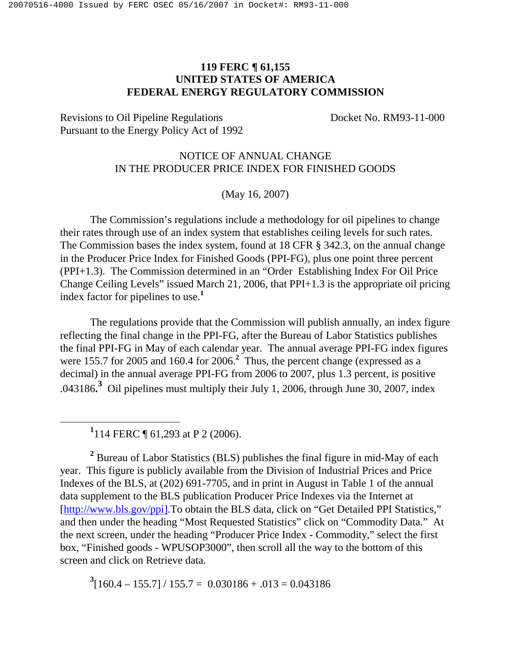## **119 FERC ¶ 61,155 UNITED STATES OF AMERICA FEDERAL ENERGY REGULATORY COMMISSION**

Revisions to Oil Pipeline Regulations Docket No. RM93-11-000 Pursuant to the Energy Policy Act of 1992

## NOTICE OF ANNUAL CHANGE IN THE PRODUCER PRICE INDEX FOR FINISHED GOODS

(May 16, 2007)

The Commission's regulations include a methodology for oil pipelines to change their rates through use of an index system that establishes ceiling levels for such rates. The Commission bases the index system, found at 18 CFR § 342.3, on the annual change in the Producer Price Index for Finished Goods (PPI-FG), plus one point three percent (PPI+1.3). The Commission determined in an "Order Establishing Index For Oil Price Change Ceiling Levels" issued March 21, 2006, that PPI+1.3 is the appropriate oil pricing index factor for pipelines to use.**<sup>1</sup>**

The regulations provide that the Commission will publish annually, an index figure reflecting the final change in the PPI-FG, after the Bureau of Labor Statistics publishes the final PPI-FG in May of each calendar year. The annual average PPI-FG index figures were 155.7 for 2005 and 160.4 for 2006.<sup>2</sup> Thus, the percent change (expressed as a decimal) in the annual average PPI-FG from 2006 to 2007, plus 1.3 percent, is positive .043186**. <sup>3</sup>** Oil pipelines must multiply their July 1, 2006, through June 30, 2007, index

**1** 114 FERC ¶ 61,293 at P 2 (2006).

**2** Bureau of Labor Statistics (BLS) publishes the final figure in mid-May of each year. This figure is publicly available from the Division of Industrial Prices and Price Indexes of the BLS, at (202) 691-7705, and in print in August in Table 1 of the annual data supplement to the BLS publication Producer Price Indexes via the Internet at [http://www.bls.gov/ppi].To obtain the BLS data, click on "Get Detailed PPI Statistics," and then under the heading "Most Requested Statistics" click on "Commodity Data." At the next screen, under the heading "Producer Price Index - Commodity," select the first box, "Finished goods - WPUSOP3000", then scroll all the way to the bottom of this screen and click on Retrieve data.

 $3[160.4 - 155.7] / 155.7 = 0.030186 + .013 = 0.043186$